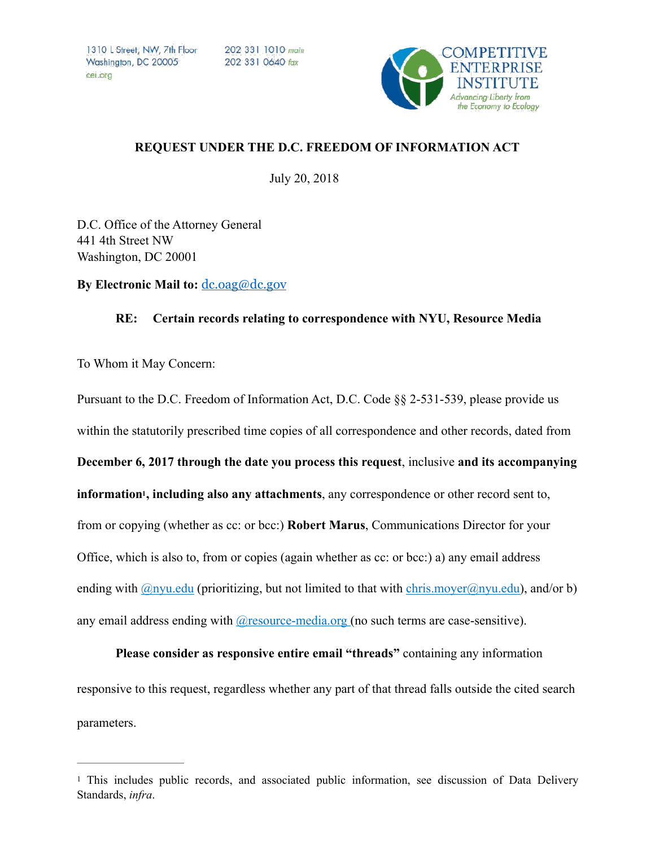1310 L Street, NW, Zth Floor Washington, DC 20005 cei ora

202 331 1010 main 202 331 0640 fox



## **REQUEST UNDER THE D.C. FREEDOM OF INFORMATION ACT**

July 20, 2018

D.C. Office of the Attorney General 441 4th Street NW Washington, DC 20001

**By Electronic Mail to:** [dc.oag@dc.gov](mailto:dc.oag@dc.gov) 

## **RE: Certain records relating to correspondence with NYU, Resource Media**

To Whom it May Concern:

<span id="page-0-1"></span>Pursuant to the D.C. Freedom of Information Act, D.C. Code §§ 2-531-539, please provide us within the statutorily prescribed time copies of all correspondence and other records, dated from **December 6, 2017 through the date you process this request**, inclusive **and its accompanying**  information<sup>[1](#page-0-0)</sup>, including also any attachments, any correspondence or other record sent to, from or copying (whether as cc: or bcc:) **Robert Marus**, Communications Director for your Office, which is also to, from or copies (again whether as cc: or bcc:) a) any email address ending with  $\mathcal{Q}_{\text{nyu.edu}}$  (prioritizing, but not limited to that with chris.moyer $\mathcal{Q}_{\text{nyu.edu}}$ ), and/or b) any email address ending with **@**resource-media.org (no such terms are case-sensitive).

**Please consider as responsive entire email "threads"** containing any information responsive to this request, regardless whether any part of that thread falls outside the cited search parameters.

<span id="page-0-0"></span><sup>&</sup>lt;sup>1</sup>This includes public records, and associated public information, see discussion of Data Delivery Standards, *infra*.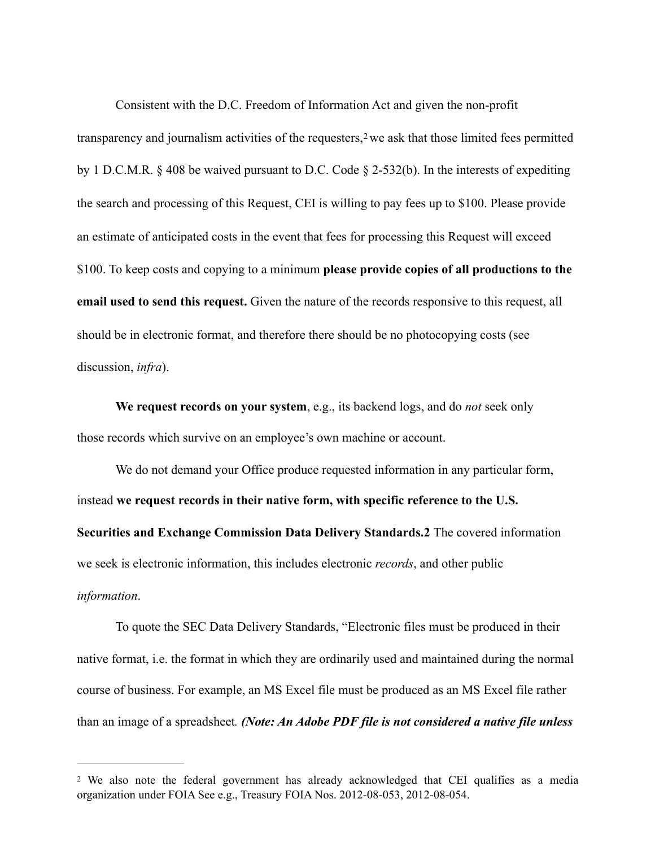<span id="page-1-1"></span>Consistent with the D.C. Freedom of Information Act and given the non-profit transparency and journalism activities of the requesters,  $2$  we ask that those limited fees permitted by 1 D.C.M.R. § 408 be waived pursuant to D.C. Code § 2-532(b). In the interests of expediting the search and processing of this Request, CEI is willing to pay fees up to \$100. Please provide an estimate of anticipated costs in the event that fees for processing this Request will exceed \$100. To keep costs and copying to a minimum **please provide copies of all productions to the email used to send this request.** Given the nature of the records responsive to this request, all should be in electronic format, and therefore there should be no photocopying costs (see discussion, *infra*).

**We request records on your system**, e.g., its backend logs, and do *not* seek only those records which survive on an employee's own machine or account.

We do not demand your Office produce requested information in any particular form, instead **we request records in their native form, with specific reference to the U.S. Securities and Exchange Commission Data Delivery Standards.2** The covered information we seek is electronic information, this includes electronic *records*, and other public *information*.

To quote the SEC Data Delivery Standards, "Electronic files must be produced in their native format, i.e. the format in which they are ordinarily used and maintained during the normal course of business. For example, an MS Excel file must be produced as an MS Excel file rather than an image of a spreadsheet*. (Note: An Adobe PDF file is not considered a native file unless* 

<span id="page-1-0"></span>We also note the federal government has already acknowledged that CEI qualifies as a media [2](#page-1-1) organization under FOIA See e.g., Treasury FOIA Nos. 2012-08-053, 2012-08-054.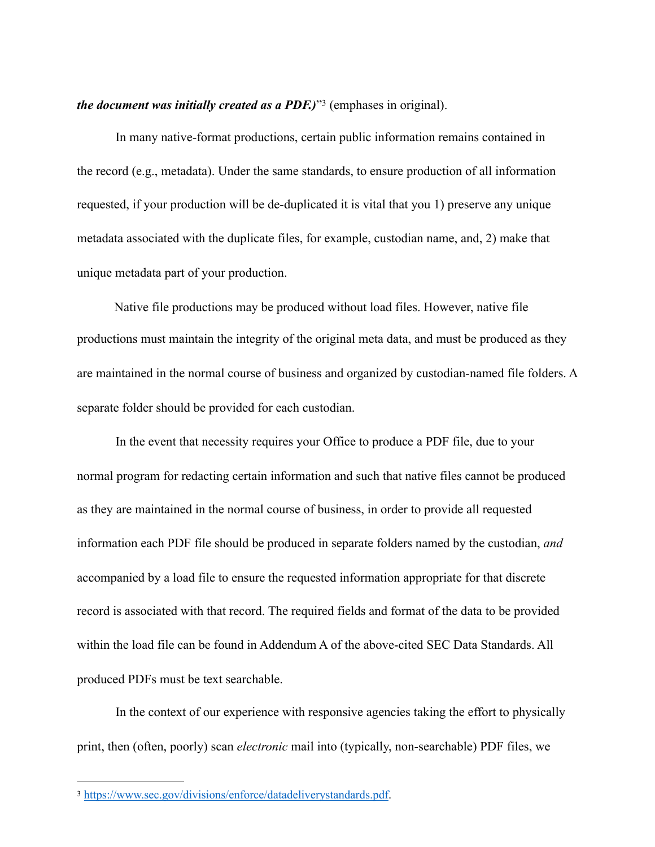<span id="page-2-1"></span>*the document was initially created as a PDF.)*<sup>[3](#page-2-0)</sup> (emphases in original).

In many native-format productions, certain public information remains contained in the record (e.g., metadata). Under the same standards, to ensure production of all information requested, if your production will be de-duplicated it is vital that you 1) preserve any unique metadata associated with the duplicate files, for example, custodian name, and, 2) make that unique metadata part of your production.

Native file productions may be produced without load files. However, native file productions must maintain the integrity of the original meta data, and must be produced as they are maintained in the normal course of business and organized by custodian-named file folders. A separate folder should be provided for each custodian.

In the event that necessity requires your Office to produce a PDF file, due to your normal program for redacting certain information and such that native files cannot be produced as they are maintained in the normal course of business, in order to provide all requested information each PDF file should be produced in separate folders named by the custodian, *and* accompanied by a load file to ensure the requested information appropriate for that discrete record is associated with that record. The required fields and format of the data to be provided within the load file can be found in Addendum A of the above-cited SEC Data Standards. All produced PDFs must be text searchable.

In the context of our experience with responsive agencies taking the effort to physically print, then (often, poorly) scan *electronic* mail into (typically, non-searchable) PDF files, we

<span id="page-2-0"></span><https://www.sec.gov/divisions/enforce/datadeliverystandards.pdf>. [3](#page-2-1)